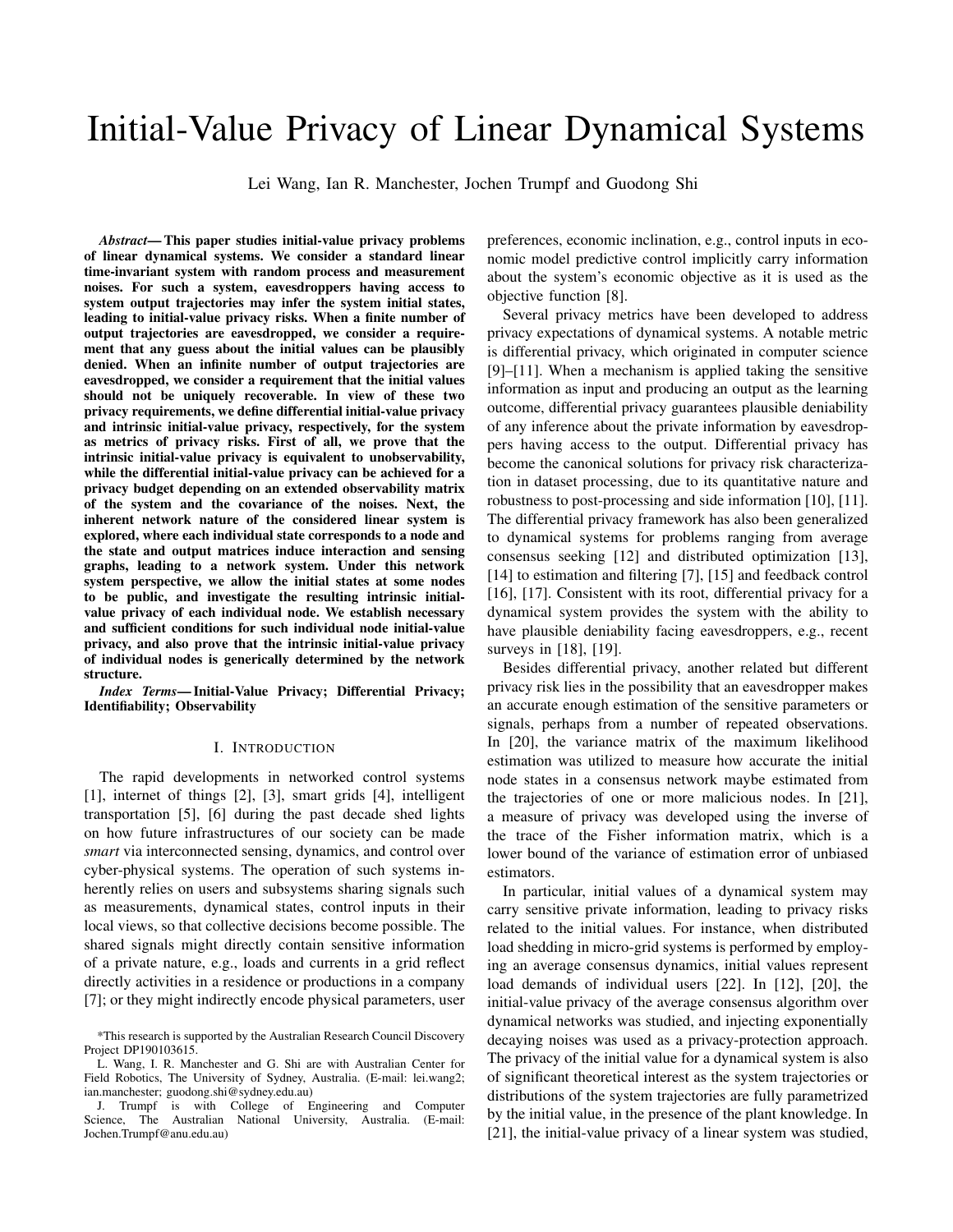# Initial-Value Privacy of Linear Dynamical Systems

Lei Wang, Ian R. Manchester, Jochen Trumpf and Guodong Shi

*Abstract*— This paper studies initial-value privacy problems of linear dynamical systems. We consider a standard linear time-invariant system with random process and measurement noises. For such a system, eavesdroppers having access to system output trajectories may infer the system initial states, leading to initial-value privacy risks. When a finite number of output trajectories are eavesdropped, we consider a requirement that any guess about the initial values can be plausibly denied. When an infinite number of output trajectories are eavesdropped, we consider a requirement that the initial values should not be uniquely recoverable. In view of these two privacy requirements, we define differential initial-value privacy and intrinsic initial-value privacy, respectively, for the system as metrics of privacy risks. First of all, we prove that the intrinsic initial-value privacy is equivalent to unobservability, while the differential initial-value privacy can be achieved for a privacy budget depending on an extended observability matrix of the system and the covariance of the noises. Next, the inherent network nature of the considered linear system is explored, where each individual state corresponds to a node and the state and output matrices induce interaction and sensing graphs, leading to a network system. Under this network system perspective, we allow the initial states at some nodes to be public, and investigate the resulting intrinsic initialvalue privacy of each individual node. We establish necessary and sufficient conditions for such individual node initial-value privacy, and also prove that the intrinsic initial-value privacy of individual nodes is generically determined by the network structure.

*Index Terms*— Initial-Value Privacy; Differential Privacy; Identifiability; Observability

#### I. INTRODUCTION

The rapid developments in networked control systems [1], internet of things [2], [3], smart grids [4], intelligent transportation [5], [6] during the past decade shed lights on how future infrastructures of our society can be made *smart* via interconnected sensing, dynamics, and control over cyber-physical systems. The operation of such systems inherently relies on users and subsystems sharing signals such as measurements, dynamical states, control inputs in their local views, so that collective decisions become possible. The shared signals might directly contain sensitive information of a private nature, e.g., loads and currents in a grid reflect directly activities in a residence or productions in a company [7]; or they might indirectly encode physical parameters, user

preferences, economic inclination, e.g., control inputs in economic model predictive control implicitly carry information about the system's economic objective as it is used as the objective function [8].

Several privacy metrics have been developed to address privacy expectations of dynamical systems. A notable metric is differential privacy, which originated in computer science [9]–[11]. When a mechanism is applied taking the sensitive information as input and producing an output as the learning outcome, differential privacy guarantees plausible deniability of any inference about the private information by eavesdroppers having access to the output. Differential privacy has become the canonical solutions for privacy risk characterization in dataset processing, due to its quantitative nature and robustness to post-processing and side information [10], [11]. The differential privacy framework has also been generalized to dynamical systems for problems ranging from average consensus seeking [12] and distributed optimization [13], [14] to estimation and filtering [7], [15] and feedback control [16], [17]. Consistent with its root, differential privacy for a dynamical system provides the system with the ability to have plausible deniability facing eavesdroppers, e.g., recent surveys in [18], [19].

Besides differential privacy, another related but different privacy risk lies in the possibility that an eavesdropper makes an accurate enough estimation of the sensitive parameters or signals, perhaps from a number of repeated observations. In [20], the variance matrix of the maximum likelihood estimation was utilized to measure how accurate the initial node states in a consensus network maybe estimated from the trajectories of one or more malicious nodes. In [21], a measure of privacy was developed using the inverse of the trace of the Fisher information matrix, which is a lower bound of the variance of estimation error of unbiased estimators.

In particular, initial values of a dynamical system may carry sensitive private information, leading to privacy risks related to the initial values. For instance, when distributed load shedding in micro-grid systems is performed by employing an average consensus dynamics, initial values represent load demands of individual users [22]. In [12], [20], the initial-value privacy of the average consensus algorithm over dynamical networks was studied, and injecting exponentially decaying noises was used as a privacy-protection approach. The privacy of the initial value for a dynamical system is also of significant theoretical interest as the system trajectories or distributions of the system trajectories are fully parametrized by the initial value, in the presence of the plant knowledge. In [21], the initial-value privacy of a linear system was studied,

<sup>\*</sup>This research is supported by the Australian Research Council Discovery Project DP190103615.

L. Wang, I. R. Manchester and G. Shi are with Australian Center for Field Robotics, The University of Sydney, Australia. (E-mail: lei.wang2; ian.manchester; guodong.shi@sydney.edu.au)

J. Trumpf is with College of Engineering and Computer Science, The Australian National University, Australia. (E-mail: Jochen.Trumpf@anu.edu.au)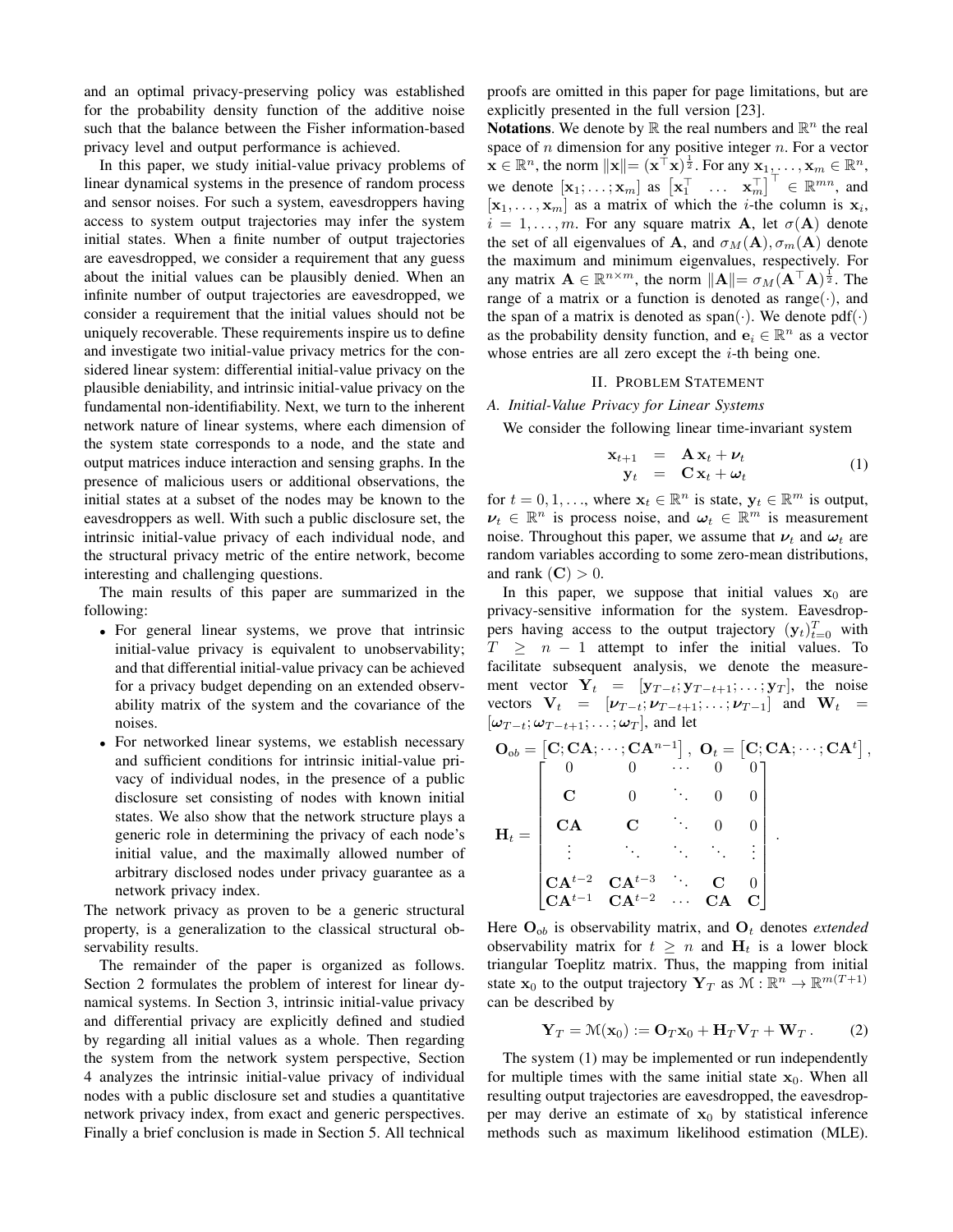and an optimal privacy-preserving policy was established for the probability density function of the additive noise such that the balance between the Fisher information-based privacy level and output performance is achieved.

In this paper, we study initial-value privacy problems of linear dynamical systems in the presence of random process and sensor noises. For such a system, eavesdroppers having access to system output trajectories may infer the system initial states. When a finite number of output trajectories are eavesdropped, we consider a requirement that any guess about the initial values can be plausibly denied. When an infinite number of output trajectories are eavesdropped, we consider a requirement that the initial values should not be uniquely recoverable. These requirements inspire us to define and investigate two initial-value privacy metrics for the considered linear system: differential initial-value privacy on the plausible deniability, and intrinsic initial-value privacy on the fundamental non-identifiability. Next, we turn to the inherent network nature of linear systems, where each dimension of the system state corresponds to a node, and the state and output matrices induce interaction and sensing graphs. In the presence of malicious users or additional observations, the initial states at a subset of the nodes may be known to the eavesdroppers as well. With such a public disclosure set, the intrinsic initial-value privacy of each individual node, and the structural privacy metric of the entire network, become interesting and challenging questions.

The main results of this paper are summarized in the following:

- For general linear systems, we prove that intrinsic initial-value privacy is equivalent to unobservability; and that differential initial-value privacy can be achieved for a privacy budget depending on an extended observability matrix of the system and the covariance of the noises.
- For networked linear systems, we establish necessary and sufficient conditions for intrinsic initial-value privacy of individual nodes, in the presence of a public disclosure set consisting of nodes with known initial states. We also show that the network structure plays a generic role in determining the privacy of each node's initial value, and the maximally allowed number of arbitrary disclosed nodes under privacy guarantee as a network privacy index.

The network privacy as proven to be a generic structural property, is a generalization to the classical structural observability results.

The remainder of the paper is organized as follows. Section 2 formulates the problem of interest for linear dynamical systems. In Section 3, intrinsic initial-value privacy and differential privacy are explicitly defined and studied by regarding all initial values as a whole. Then regarding the system from the network system perspective, Section 4 analyzes the intrinsic initial-value privacy of individual nodes with a public disclosure set and studies a quantitative network privacy index, from exact and generic perspectives. Finally a brief conclusion is made in Section 5. All technical

proofs are omitted in this paper for page limitations, but are explicitly presented in the full version [23].

**Notations.** We denote by  $\mathbb R$  the real numbers and  $\mathbb R^n$  the real space of  $n$  dimension for any positive integer  $n$ . For a vector  $\mathbf{x} \in \mathbb{R}^n$ , the norm  $\|\mathbf{x}\| = (\mathbf{x}^\top \mathbf{x})^{\frac{1}{2}}$ . For any  $\mathbf{x}_1, \dots, \mathbf{x}_m \in \mathbb{R}^n$ , we denote  $\begin{bmatrix} \mathbf{x}_1; \dots; \mathbf{x}_m \end{bmatrix}$  as  $\begin{bmatrix} \mathbf{x}_1^{\top} & \dots & \mathbf{x}_m^{\top} \end{bmatrix}^{\top} \in \mathbb{R}^{mn}$ , and  $[\mathbf{x}_1, \dots, \mathbf{x}_m]$  as a matrix of which the *i*-the column is  $\mathbf{x}_i$ ,  $i = 1, \ldots, m$ . For any square matrix **A**, let  $\sigma(A)$  denote the set of all eigenvalues of **A**, and  $\sigma_M(A), \sigma_m(A)$  denote the maximum and minimum eigenvalues, respectively. For any matrix  $\mathbf{A} \in \mathbb{R}^{n \times m}$ , the norm  $\|\mathbf{A}\| = \sigma_M(\mathbf{A}^\top \mathbf{A})^{\frac{1}{2}}$ . The range of a matrix or a function is denoted as range( $\cdot$ ), and the span of a matrix is denoted as span( $\cdot$ ). We denote pdf $(\cdot)$ as the probability density function, and  $\mathbf{e}_i \in \mathbb{R}^n$  as a vector whose entries are all zero except the  $i$ -th being one.

## II. PROBLEM STATEMENT

### *A. Initial-Value Privacy for Linear Systems*

We consider the following linear time-invariant system

$$
\begin{array}{rcl}\n\mathbf{x}_{t+1} & = & \mathbf{A}\,\mathbf{x}_t + \boldsymbol{\nu}_t \\
\mathbf{y}_t & = & \mathbf{C}\,\mathbf{x}_t + \boldsymbol{\omega}_t\n\end{array} \tag{1}
$$

for  $t = 0, 1, \ldots$ , where  $\mathbf{x}_t \in \mathbb{R}^n$  is state,  $\mathbf{y}_t \in \mathbb{R}^m$  is output,  $\nu_t \in \mathbb{R}^n$  is process noise, and  $\omega_t \in \mathbb{R}^m$  is measurement noise. Throughout this paper, we assume that  $\nu_t$  and  $\omega_t$  are random variables according to some zero-mean distributions, and rank  $(C) > 0$ .

In this paper, we suppose that initial values  $x_0$  are privacy-sensitive information for the system. Eavesdroppers having access to the output trajectory  $(y_t)_{t=0}^T$  with  $T \geq n - 1$  attempt to infer the initial values. To facilitate subsequent analysis, we denote the measurement vector  $Y_t = [y_{T-t}; y_{T-t+1}; \dots; y_T]$ , the noise vectors  $V_t = [\nu_{T-t}; \nu_{T-t+1}; \dots; \nu_{T-1}]$  and  $W_t =$  $[\omega_{T-t}; \omega_{T-t+1}; \ldots; \omega_T]$ , and let

$$
\mathbf{O}_{ob} = \begin{bmatrix} \mathbf{C}; \mathbf{C}\mathbf{A}; \cdots; \mathbf{C}\mathbf{A}^{n-1} \end{bmatrix}, \ \mathbf{O}_t = \begin{bmatrix} \mathbf{C}; \mathbf{C}\mathbf{A}; \cdots; \mathbf{C}\mathbf{A}^t \end{bmatrix}, \\ \mathbf{C} \qquad \begin{bmatrix} \mathbf{O} & \cdots & 0 & 0 \\ \mathbf{C} & \mathbf{O} & \cdots & 0 & 0 \\ \mathbf{C}\mathbf{A} & \mathbf{C} & \cdots & 0 & 0 \\ \vdots & \ddots & \ddots & \ddots & \vdots \\ \mathbf{C}\mathbf{A}^{t-2} & \mathbf{C}\mathbf{A}^{t-3} & \cdots & \mathbf{C}\mathbf{A} & \mathbf{C} \end{bmatrix}.
$$

Here  $O_{ob}$  is observability matrix, and  $O_t$  denotes *extended* observability matrix for  $t \geq n$  and  $H_t$  is a lower block triangular Toeplitz matrix. Thus, the mapping from initial state  $\mathbf{x}_0$  to the output trajectory  $\mathbf{Y}_T$  as  $\mathcal{M} : \mathbb{R}^n \to \mathbb{R}^{m(T+1)}$ can be described by

$$
\mathbf{Y}_T = \mathcal{M}(\mathbf{x}_0) := \mathbf{O}_T \mathbf{x}_0 + \mathbf{H}_T \mathbf{V}_T + \mathbf{W}_T.
$$
 (2)

The system (1) may be implemented or run independently for multiple times with the same initial state  $x_0$ . When all resulting output trajectories are eavesdropped, the eavesdropper may derive an estimate of  $x_0$  by statistical inference methods such as maximum likelihood estimation (MLE).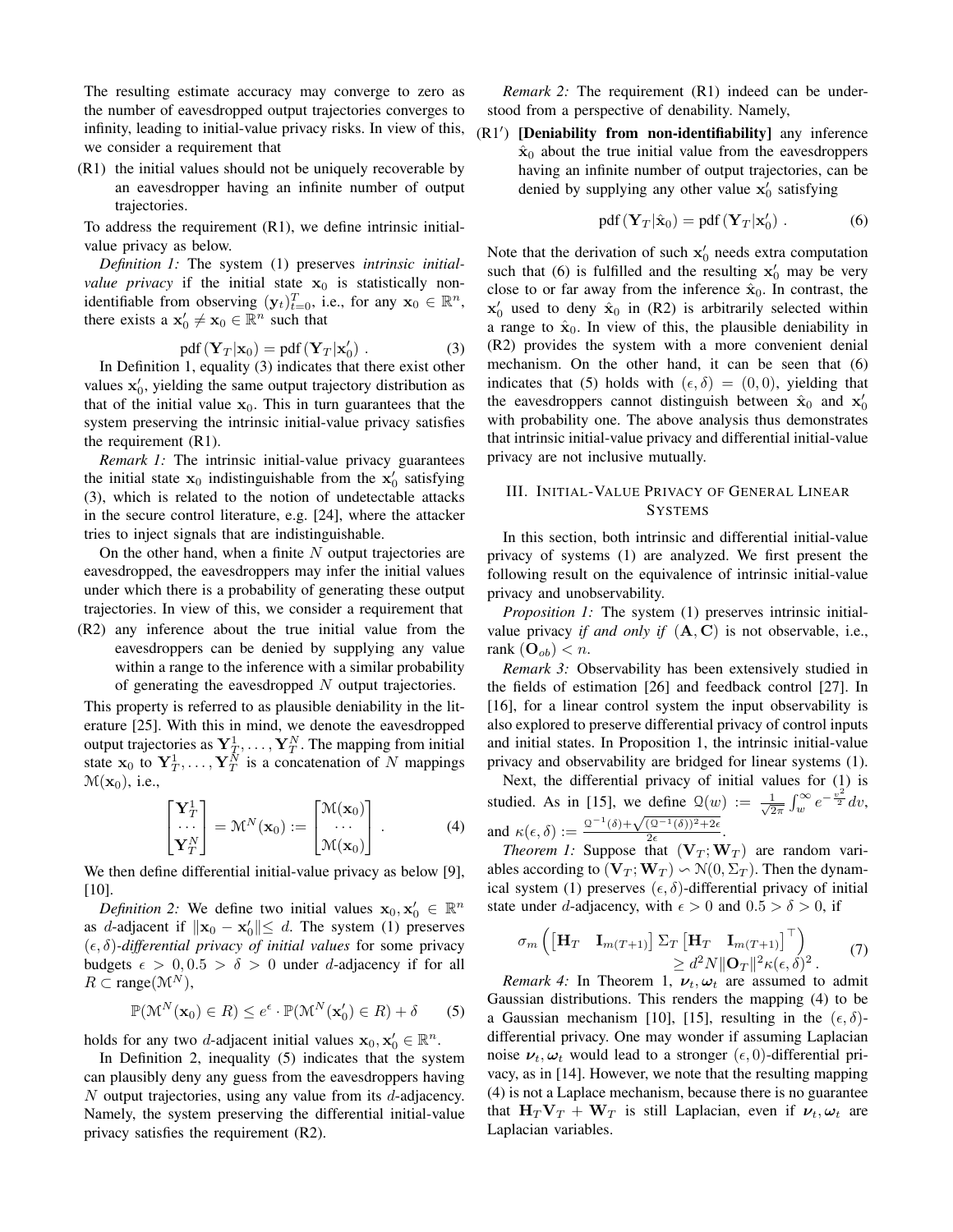The resulting estimate accuracy may converge to zero as the number of eavesdropped output trajectories converges to infinity, leading to initial-value privacy risks. In view of this, we consider a requirement that

(R1) the initial values should not be uniquely recoverable by an eavesdropper having an infinite number of output trajectories.

To address the requirement (R1), we define intrinsic initialvalue privacy as below.

*Definition 1:* The system (1) preserves *intrinsic initialvalue privacy* if the initial state  $x_0$  is statistically nonidentifiable from observing  $(\mathbf{y}_t)_{t=0}^T$ , i.e., for any  $\mathbf{x}_0 \in \mathbb{R}^n$ , there exists a  $\mathbf{x}'_0 \neq \mathbf{x}_0 \in \mathbb{R}^n$  such that

$$
pdf(\mathbf{Y}_T|\mathbf{x}_0) = pdf(\mathbf{Y}_T|\mathbf{x}'_0) .
$$
 (3)

In Definition 1, equality (3) indicates that there exist other values  $x'_0$ , yielding the same output trajectory distribution as that of the initial value  $x_0$ . This in turn guarantees that the system preserving the intrinsic initial-value privacy satisfies the requirement (R1).

*Remark 1:* The intrinsic initial-value privacy guarantees the initial state  $x_0$  indistinguishable from the  $x'_0$  satisfying (3), which is related to the notion of undetectable attacks in the secure control literature, e.g. [24], where the attacker tries to inject signals that are indistinguishable.

On the other hand, when a finite  $N$  output trajectories are eavesdropped, the eavesdroppers may infer the initial values under which there is a probability of generating these output trajectories. In view of this, we consider a requirement that

(R2) any inference about the true initial value from the eavesdroppers can be denied by supplying any value within a range to the inference with a similar probability of generating the eavesdropped  $N$  output trajectories.

This property is referred to as plausible deniability in the literature [25]. With this in mind, we denote the eavesdropped output trajectories as  $\mathbf{Y}_T^1, \ldots, \mathbf{Y}_T^N$ . The mapping from initial state  $x_0$  to  $Y_T^1, \ldots, Y_T^N$  is a concatenation of N mappings  $\mathcal{M}(\mathbf{x}_0)$ , i.e.,

$$
\begin{bmatrix} \mathbf{Y}_T^1 \\ \cdots \\ \mathbf{Y}_T^N \end{bmatrix} = \mathcal{M}^N(\mathbf{x}_0) := \begin{bmatrix} \mathcal{M}(\mathbf{x}_0) \\ \cdots \\ \mathcal{M}(\mathbf{x}_0) \end{bmatrix} .
$$
 (4)

We then define differential initial-value privacy as below [9], [10].

*Definition 2:* We define two initial values  $\mathbf{x}_0, \mathbf{x}_0 \in \mathbb{R}^n$ as d-adjacent if  $\|\mathbf{x}_0 - \mathbf{x}'_0\| \le d$ . The system (1) preserves  $(\epsilon, \delta)$ -differential privacy of initial values for some privacy budgets  $\epsilon > 0, 0.5 > \delta > 0$  under d-adjacency if for all  $R \subset \text{range}(\mathcal{M}^N)$ ,

$$
\mathbb{P}(\mathcal{M}^N(\mathbf{x}_0) \in R) \le e^{\epsilon} \cdot \mathbb{P}(\mathcal{M}^N(\mathbf{x}'_0) \in R) + \delta \qquad (5)
$$

holds for any two *d*-adjacent initial values  $\mathbf{x}_0, \mathbf{x}'_0 \in \mathbb{R}^n$ .

In Definition 2, inequality (5) indicates that the system can plausibly deny any guess from the eavesdroppers having  $N$  output trajectories, using any value from its  $d$ -adjacency. Namely, the system preserving the differential initial-value privacy satisfies the requirement (R2).

*Remark 2:* The requirement (R1) indeed can be understood from a perspective of denability. Namely,

 $(R1')$  [Deniability from non-identifiability] any inference  $\hat{\mathbf{x}}_0$  about the true initial value from the eavesdroppers having an infinite number of output trajectories, can be denied by supplying any other value  $x'_0$  satisfying

$$
pdf(\mathbf{Y}_T|\hat{\mathbf{x}}_0) = pdf(\mathbf{Y}_T|\mathbf{x}'_0).
$$
 (6)

Note that the derivation of such  $x'_0$  needs extra computation such that (6) is fulfilled and the resulting  $x'_0$  may be very close to or far away from the inference  $\hat{\mathbf{x}}_0$ . In contrast, the  $x'_0$  used to deny  $\hat{x}_0$  in (R2) is arbitrarily selected within a range to  $\hat{\mathbf{x}}_0$ . In view of this, the plausible deniability in (R2) provides the system with a more convenient denial mechanism. On the other hand, it can be seen that (6) indicates that (5) holds with  $(\epsilon, \delta) = (0, 0)$ , yielding that the eavesdroppers cannot distinguish between  $\hat{\mathbf{x}}_0$  and  $\mathbf{x}'_0$ with probability one. The above analysis thus demonstrates that intrinsic initial-value privacy and differential initial-value privacy are not inclusive mutually.

## III. INITIAL-VALUE PRIVACY OF GENERAL LINEAR **SYSTEMS**

In this section, both intrinsic and differential initial-value privacy of systems (1) are analyzed. We first present the following result on the equivalence of intrinsic initial-value privacy and unobservability.

*Proposition 1:* The system (1) preserves intrinsic initialvalue privacy *if and only if*  $(A, C)$  is not observable, i.e., rank  $(O_{ob}) < n$ .

*Remark 3:* Observability has been extensively studied in the fields of estimation [26] and feedback control [27]. In [16], for a linear control system the input observability is also explored to preserve differential privacy of control inputs and initial states. In Proposition 1, the intrinsic initial-value privacy and observability are bridged for linear systems (1).

Next, the differential privacy of initial values for (1) is studied. As in [15], we define  $\mathcal{Q}(w) := \frac{1}{\sqrt{2}}$  $\frac{1}{2\pi} \int_{w}^{\infty} e^{-\frac{v^2}{2}} dv,$ and  $\kappa(\epsilon, \delta) := \frac{2^{-1}(\delta) + \sqrt{(2^{-1}(\delta))^2 + 2\epsilon}}{2\epsilon}$  $rac{(2-(0))+2\epsilon}{2\epsilon}$ .

*Theorem 1:* Suppose that  $(\mathbf{V}_T; \mathbf{W}_T)$  are random variables according to  $(\mathbf{V}_T; \mathbf{W}_T) \backsim \mathcal{N}(0, \Sigma_T)$ . Then the dynamical system (1) preserves  $(\epsilon, \delta)$ -differential privacy of initial state under d-adjacency, with  $\epsilon > 0$  and  $0.5 > \delta > 0$ , if

$$
\sigma_m \left( \begin{bmatrix} \mathbf{H}_T & \mathbf{I}_{m(T+1)} \end{bmatrix} \Sigma_T \begin{bmatrix} \mathbf{H}_T & \mathbf{I}_{m(T+1)} \end{bmatrix}^\top \right) \geq d^2 N \|\mathbf{O}_T\|^2 \kappa(\epsilon, \delta)^2. \tag{7}
$$

*Remark 4:* In Theorem 1,  $v_t$ ,  $\omega_t$  are assumed to admit Gaussian distributions. This renders the mapping (4) to be a Gaussian mechanism [10], [15], resulting in the  $(\epsilon, \delta)$ differential privacy. One may wonder if assuming Laplacian noise  $v_t, \omega_t$  would lead to a stronger  $(\epsilon, 0)$ -differential privacy, as in [14]. However, we note that the resulting mapping (4) is not a Laplace mechanism, because there is no guarantee that  $H_T V_T + W_T$  is still Laplacian, even if  $v_t, \omega_t$  are Laplacian variables.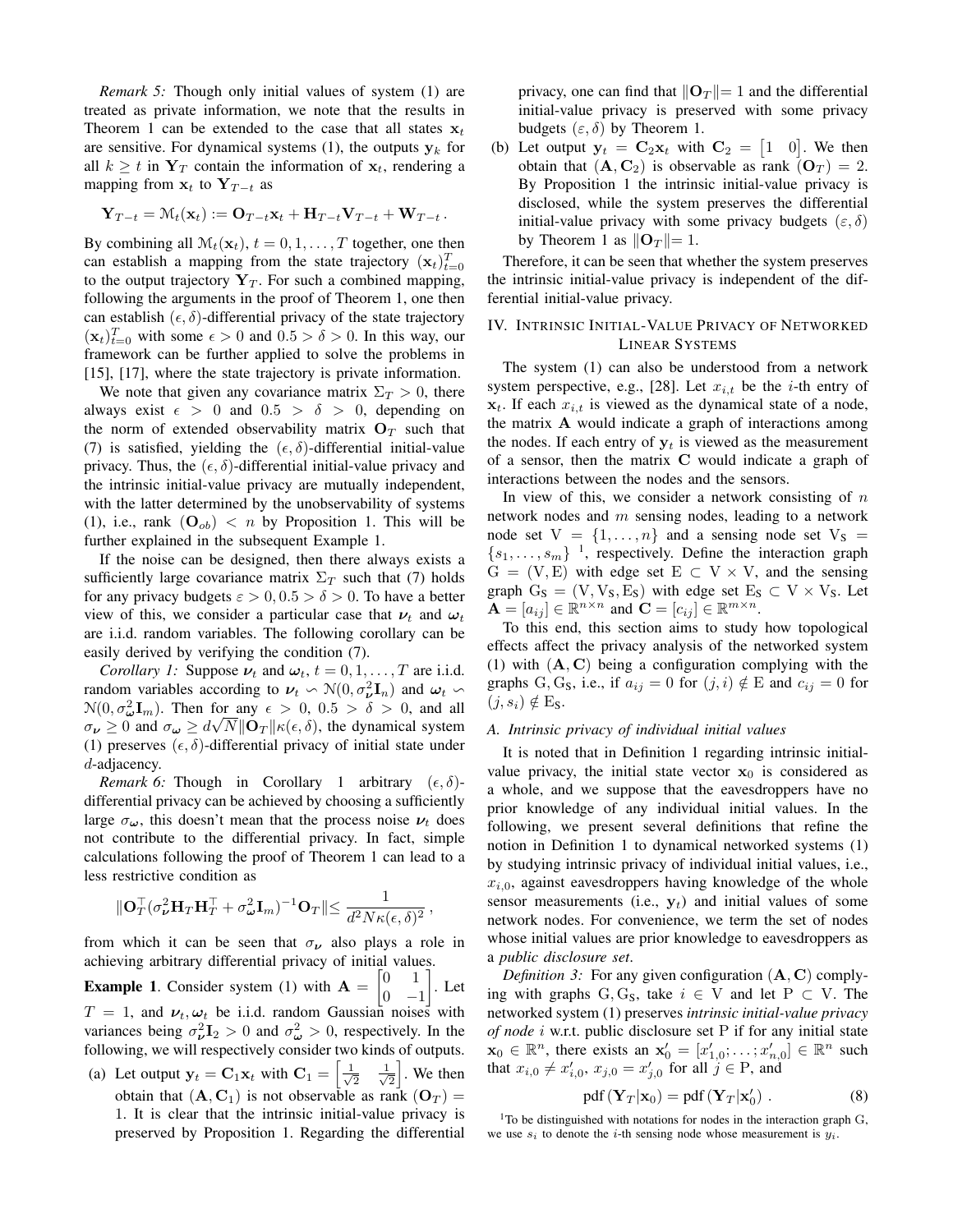*Remark 5:* Though only initial values of system (1) are treated as private information, we note that the results in Theorem 1 can be extended to the case that all states  $x_t$ are sensitive. For dynamical systems (1), the outputs  $y_k$  for all  $k \geq t$  in  $Y_T$  contain the information of  $x_t$ , rendering a mapping from  $x_t$  to  $Y_{T-t}$  as

$$
\mathbf{Y}_{T-t} = \mathcal{M}_t(\mathbf{x}_t) := \mathbf{O}_{T-t}\mathbf{x}_t + \mathbf{H}_{T-t}\mathbf{V}_{T-t} + \mathbf{W}_{T-t}.
$$

By combining all  $\mathcal{M}_t(\mathbf{x}_t)$ ,  $t = 0, 1, \dots, T$  together, one then can establish a mapping from the state trajectory  $(\mathbf{x}_t)_{t=0}^T$ to the output trajectory  $Y_T$ . For such a combined mapping, following the arguments in the proof of Theorem 1, one then can establish  $(\epsilon, \delta)$ -differential privacy of the state trajectory  $(\mathbf{x}_t)_{t=0}^T$  with some  $\epsilon > 0$  and  $0.5 > \delta > 0$ . In this way, our framework can be further applied to solve the problems in [15], [17], where the state trajectory is private information.

We note that given any covariance matrix  $\Sigma_T > 0$ , there always exist  $\epsilon > 0$  and  $0.5 > \delta > 0$ , depending on the norm of extended observability matrix  $O_T$  such that (7) is satisfied, yielding the  $(\epsilon, \delta)$ -differential initial-value privacy. Thus, the  $(\epsilon, \delta)$ -differential initial-value privacy and the intrinsic initial-value privacy are mutually independent, with the latter determined by the unobservability of systems (1), i.e., rank  $(O_{ob}) < n$  by Proposition 1. This will be further explained in the subsequent Example 1.

If the noise can be designed, then there always exists a sufficiently large covariance matrix  $\Sigma_T$  such that (7) holds for any privacy budgets  $\varepsilon > 0$ ,  $0.5 > \delta > 0$ . To have a better view of this, we consider a particular case that  $\nu_t$  and  $\omega_t$ are i.i.d. random variables. The following corollary can be easily derived by verifying the condition (7).

*Corollary 1:* Suppose  $\nu_t$  and  $\omega_t$ ,  $t = 0, 1, \dots, T$  are i.i.d. random variables according to  $\nu_t \sim \mathcal{N}(0, \sigma_v^2 \mathbf{I}_n)$  and  $\omega_t \sim$  $\mathcal{N}(0, \sigma_{\boldsymbol{\omega}}^2 \mathbf{I}_m)$ . Then for any  $\epsilon > 0$ ,  $0.5 > \delta > 0$ , and all  $\sigma_{\nu} \ge 0$  and  $\sigma_{\omega} \ge d\sqrt{N} \|\mathbf{O}_T\| \kappa(\epsilon, \delta)$ , the dynamical system (1) preserves  $(\epsilon, \delta)$ -differential privacy of initial state under d-adjacency.

*Remark 6:* Though in Corollary 1 arbitrary  $(\epsilon, \delta)$ differential privacy can be achieved by choosing a sufficiently large  $\sigma_{\omega}$ , this doesn't mean that the process noise  $\nu_t$  does not contribute to the differential privacy. In fact, simple calculations following the proof of Theorem 1 can lead to a less restrictive condition as

$$
\|\mathbf{O}_T^\top (\sigma_{\boldsymbol{\nu}}^2 \mathbf{H}_T \mathbf{H}_T^\top + \sigma_{\boldsymbol{\omega}}^2 \mathbf{I}_m)^{-1} \mathbf{O}_T \| \leq \frac{1}{d^2 N \kappa(\epsilon,\delta)^2} \,,
$$

from which it can be seen that  $\sigma_{\nu}$  also plays a role in achieving arbitrary differential privacy of initial values.

**Example 1.** Consider system (1) with  $A = \begin{bmatrix} 0 & 1 \\ 0 & 1 \end{bmatrix}$  $0 -1$  $\big]$ . Let  $T = 1$ , and  $\nu_t, \omega_t$  be i.i.d. random Gaussian noises with variances being  $\sigma_{\nu}^2 \mathbf{I}_2 > 0$  and  $\sigma_{\omega}^2 > 0$ , respectively. In the following, we will respectively consider two kinds of outputs.

(a) Let output  $y_t = C_1 x_t$  with  $C_1 = \begin{bmatrix} \frac{1}{\sqrt{2\pi}} & 0 \\ 0 & \frac{1}{\sqrt{2\pi}} & 0 \end{bmatrix}$  $\overline{2}$   $\frac{1}{\sqrt{2}}$  $\frac{1}{2}$ . We then obtain that  $(A, C_1)$  is not observable as rank  $(O_T)$  = 1. It is clear that the intrinsic initial-value privacy is preserved by Proposition 1. Regarding the differential privacy, one can find that  $\|\mathbf{O}_T\|= 1$  and the differential initial-value privacy is preserved with some privacy budgets  $(\varepsilon, \delta)$  by Theorem 1.

(b) Let output  $y_t = C_2 x_t$  with  $C_2 = \begin{bmatrix} 1 & 0 \end{bmatrix}$ . We then obtain that  $(A, C_2)$  is observable as rank  $(O_T) = 2$ . By Proposition 1 the intrinsic initial-value privacy is disclosed, while the system preserves the differential initial-value privacy with some privacy budgets  $(\varepsilon, \delta)$ by Theorem 1 as  $\|\mathbf{O}_T\|= 1$ .

Therefore, it can be seen that whether the system preserves the intrinsic initial-value privacy is independent of the differential initial-value privacy.

## IV. INTRINSIC INITIAL-VALUE PRIVACY OF NETWORKED LINEAR SYSTEMS

The system (1) can also be understood from a network system perspective, e.g., [28]. Let  $x_{i,t}$  be the *i*-th entry of  $x_t$ . If each  $x_{i,t}$  is viewed as the dynamical state of a node, the matrix A would indicate a graph of interactions among the nodes. If each entry of  $y_t$  is viewed as the measurement of a sensor, then the matrix C would indicate a graph of interactions between the nodes and the sensors.

In view of this, we consider a network consisting of  $n$ network nodes and  $m$  sensing nodes, leading to a network node set  $V = \{1, \ldots, n\}$  and a sensing node set  $V_S =$  ${s_1, \ldots, s_m}$ <sup>1</sup>, respectively. Define the interaction graph  $G = (V, E)$  with edge set  $E \subset V \times V$ , and the sensing graph  $G_S = (V, V_S, E_S)$  with edge set  $E_S \subset V \times V_S$ . Let  $\mathbf{A} = [a_{ij}] \in \mathbb{R}^{n \times n}$  and  $\mathbf{C} = [c_{ij}] \in \mathbb{R}^{m \times n}$ .

To this end, this section aims to study how topological effects affect the privacy analysis of the networked system (1) with  $(A, C)$  being a configuration complying with the graphs G, G<sub>S</sub>, i.e., if  $a_{ij} = 0$  for  $(j, i) \notin E$  and  $c_{ij} = 0$  for  $(j, s_i) \notin E_S$ .

## *A. Intrinsic privacy of individual initial values*

It is noted that in Definition 1 regarding intrinsic initialvalue privacy, the initial state vector  $x_0$  is considered as a whole, and we suppose that the eavesdroppers have no prior knowledge of any individual initial values. In the following, we present several definitions that refine the notion in Definition 1 to dynamical networked systems (1) by studying intrinsic privacy of individual initial values, i.e.,  $x_{i,0}$ , against eavesdroppers having knowledge of the whole sensor measurements (i.e.,  $y_t$ ) and initial values of some network nodes. For convenience, we term the set of nodes whose initial values are prior knowledge to eavesdroppers as a *public disclosure set*.

*Definition 3:* For any given configuration (A, C) complying with graphs G, G<sub>S</sub>, take  $i \in V$  and let P  $\subset V$ . The networked system (1) preserves *intrinsic initial-value privacy of node* i w.r.t. public disclosure set P if for any initial state  $\mathbf{x}_0 \in \mathbb{R}^n$ , there exists an  $\mathbf{x}'_0 = [x'_{1,0}; \dots; x'_{n,0}] \in \mathbb{R}^n$  such that  $x_{i,0} \neq x'_{i,0}, x_{j,0} = x'_{j,0}$  for all  $j \in P$ , and

$$
pdf(\mathbf{Y}_T|\mathbf{x}_0) = pdf(\mathbf{Y}_T|\mathbf{x}'_0) .
$$
 (8)

 $1$ To be distinguished with notations for nodes in the interaction graph G, we use  $s_i$  to denote the *i*-th sensing node whose measurement is  $y_i$ .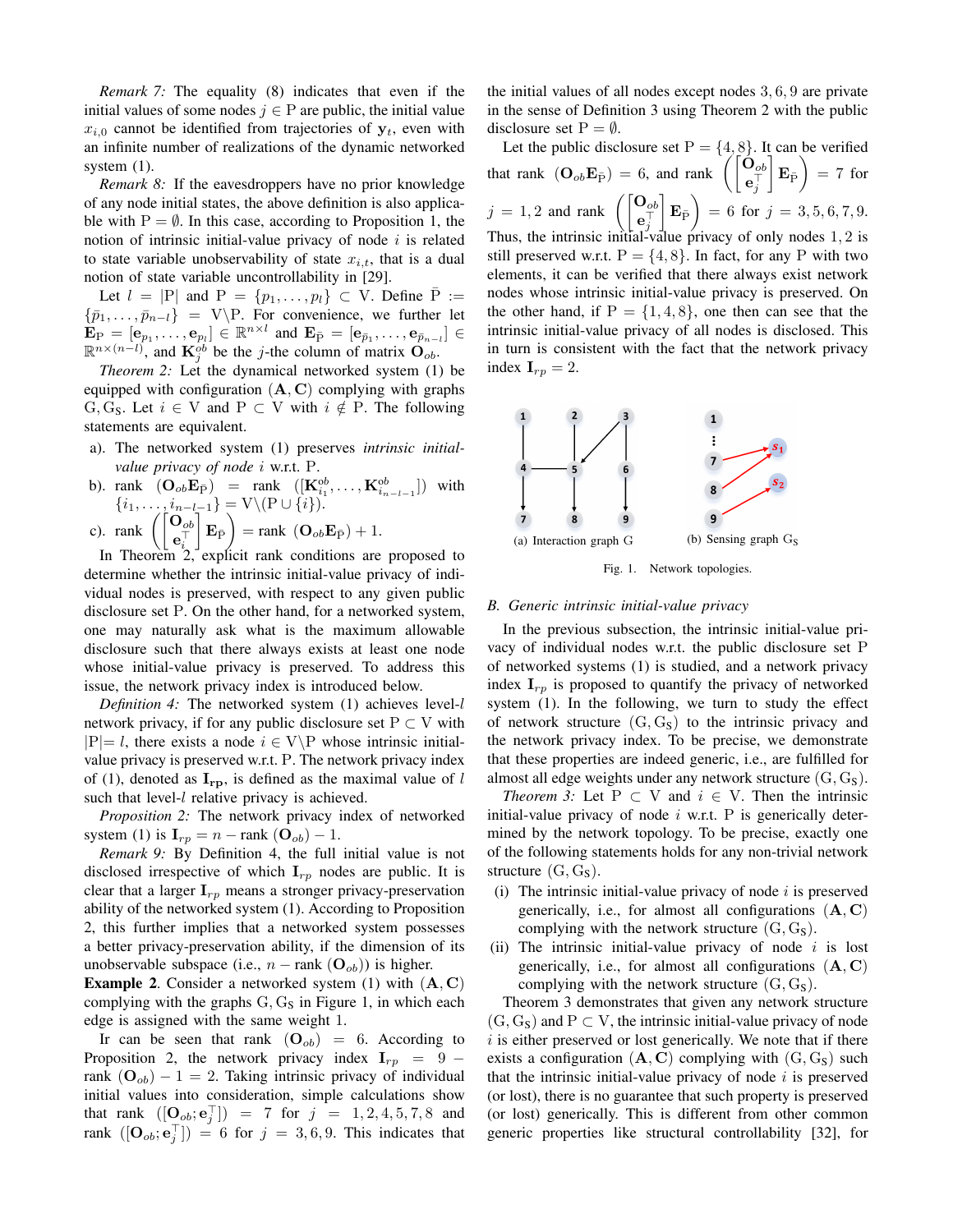*Remark 7:* The equality (8) indicates that even if the initial values of some nodes  $j \in P$  are public, the initial value  $x_{i,0}$  cannot be identified from trajectories of  $y_t$ , even with an infinite number of realizations of the dynamic networked system (1).

*Remark 8:* If the eavesdroppers have no prior knowledge of any node initial states, the above definition is also applicable with  $P = \emptyset$ . In this case, according to Proposition 1, the notion of intrinsic initial-value privacy of node  $i$  is related to state variable unobservability of state  $x_{i,t}$ , that is a dual notion of state variable uncontrollability in [29].

Let  $l = |P|$  and  $P = \{p_1, \ldots, p_l\} \subset V$ . Define  $P :=$  $\{\bar{p}_1, \ldots, \bar{p}_{n-l}\} = V\P$ . For convenience, we further let  $\mathbf{E}_{\mathrm{P}} = [\mathbf{e}_{p_1}, \dots, \mathbf{e}_{p_l}] \in \mathbb{R}^{n \times l}$  and  $\mathbf{E}_{\bar{\mathrm{P}}} = [\mathbf{e}_{\bar{p}_1}, \dots, \mathbf{e}_{\bar{p}_{n-l}}] \in$  $\mathbb{R}^{n \times (n-l)}$ , and  $\mathbf{K}_{j}^{ob}$  be the *j*-the column of matrix  $\mathbf{O}_{ob}$ .

*Theorem 2:* Let the dynamical networked system (1) be equipped with configuration  $(A, C)$  complying with graphs G, G<sub>S</sub>. Let  $i \in V$  and P  $\subset V$  with  $i \notin P$ . The following statements are equivalent.

- a). The networked system (1) preserves *intrinsic initialvalue privacy of node* i w.r.t. P.
- b). rank  $(\mathbf{O}_{ob} \mathbf{E}_{\bar{P}})$  = rank  $([\mathbf{K}_{i_1}^{ob}, \dots, \mathbf{K}_{i_{n-l-1}}^{ob}])$  with  $\{i_1,\ldots,i_{n-l-1}\}=V\backslash (P\cup\{i\}).$
- c). rank  $\begin{pmatrix} \mathbf{O}_{ob} \\ \mathbf{e}_i^{\top} \end{pmatrix}$  $\mathbf{E}_{\bar{\mathrm{P}}}$  = rank  $(\mathbf{O}_{ob} \mathbf{E}_{\bar{\mathrm{P}}}) + 1$ .

In Theorem 2, explicit rank conditions are proposed to determine whether the intrinsic initial-value privacy of individual nodes is preserved, with respect to any given public disclosure set P. On the other hand, for a networked system, one may naturally ask what is the maximum allowable disclosure such that there always exists at least one node whose initial-value privacy is preserved. To address this issue, the network privacy index is introduced below.

*Definition 4:* The networked system (1) achieves level-l network privacy, if for any public disclosure set  $P \subset V$  with  $|P|=$  l, there exists a node  $i \in V\backslash P$  whose intrinsic initialvalue privacy is preserved w.r.t. P. The network privacy index of (1), denoted as  $\mathbf{I}_{\text{rb}}$ , is defined as the maximal value of l such that level-*l* relative privacy is achieved.

*Proposition 2:* The network privacy index of networked system (1) is  $\mathbf{I}_{rp} = n - \text{rank}(\mathbf{O}_{ob}) - 1$ .

*Remark 9:* By Definition 4, the full initial value is not disclosed irrespective of which  $I_{rp}$  nodes are public. It is clear that a larger  $\mathbf{I}_{rp}$  means a stronger privacy-preservation ability of the networked system (1). According to Proposition 2, this further implies that a networked system possesses a better privacy-preservation ability, if the dimension of its unobservable subspace (i.e.,  $n - \text{rank}(\mathbf{O}_{ob})$ ) is higher.

**Example 2.** Consider a networked system (1) with  $(A, C)$ complying with the graphs  $G, G_S$  in Figure 1, in which each edge is assigned with the same weight 1.

Ir can be seen that rank  $(O_{ob}) = 6$ . According to Proposition 2, the network privacy index  $I_{rp} = 9$ rank  $(O_{ob}) - 1 = 2$ . Taking intrinsic privacy of individual initial values into consideration, simple calculations show that rank  $([\mathbf{O}_{ob}; \mathbf{e}_j^\top]) = 7$  for  $j = 1, 2, 4, 5, 7, 8$  and rank  $([\mathbf{O}_{ob}; \mathbf{e}_j^\top]) = 6$  for  $j = 3, 6, 9$ . This indicates that

the initial values of all nodes except nodes 3, 6, 9 are private in the sense of Definition 3 using Theorem 2 with the public disclosure set  $P = \emptyset$ .

Let the public disclosure set  $P = \{4, 8\}$ . It can be verified that rank  $(\mathbf{O}_{ob} \mathbf{E}_{\bar{\mathrm{P}}}) = 6$ , and rank  $\left( \begin{bmatrix} \mathbf{O}_{ob} \\ \mathbf{e}_{j}^{\top} \end{bmatrix} \right)$  $\Big| \mathbf{E}_{\bar{\mathrm{P}}} \Big) = 7$  for  $j = 1, 2$  and rank  $\begin{pmatrix} \mathbf{O}_{ob} \\ \mathbf{e}_j^{\top} \end{pmatrix}$  $\Big|\, \mathbf{E}_{\bar {\mathrm{P}}}\, \Big) \, =\, 6\, \text{ for }\, j\, =\, 3, 5, 6, 7, 9.$ Thus, the intrinsic initial-value privacy of only nodes 1, 2 is still preserved w.r.t.  $P = \{4, 8\}$ . In fact, for any P with two elements, it can be verified that there always exist network nodes whose intrinsic initial-value privacy is preserved. On the other hand, if  $P = \{1, 4, 8\}$ , one then can see that the intrinsic initial-value privacy of all nodes is disclosed. This in turn is consistent with the fact that the network privacy index  $I_{rp} = 2$ .



Fig. 1. Network topologies.

#### *B. Generic intrinsic initial-value privacy*

In the previous subsection, the intrinsic initial-value privacy of individual nodes w.r.t. the public disclosure set P of networked systems (1) is studied, and a network privacy index  $I_{rp}$  is proposed to quantify the privacy of networked system (1). In the following, we turn to study the effect of network structure  $(G, G<sub>S</sub>)$  to the intrinsic privacy and the network privacy index. To be precise, we demonstrate that these properties are indeed generic, i.e., are fulfilled for almost all edge weights under any network structure  $(G, G<sub>S</sub>)$ .

*Theorem 3:* Let  $P \subset V$  and  $i \in V$ . Then the intrinsic initial-value privacy of node  $i$  w.r.t. P is generically determined by the network topology. To be precise, exactly one of the following statements holds for any non-trivial network structure  $(G, G<sub>S</sub>)$ .

- (i) The intrinsic initial-value privacy of node  $i$  is preserved generically, i.e., for almost all configurations  $(A, C)$ complying with the network structure  $(G, G<sub>s</sub>)$ .
- (ii) The intrinsic initial-value privacy of node  $i$  is lost generically, i.e., for almost all configurations  $(A, C)$ complying with the network structure  $(G, G<sub>S</sub>)$ .

Theorem 3 demonstrates that given any network structure  $(G, G_S)$  and  $P \subset V$ , the intrinsic initial-value privacy of node  $i$  is either preserved or lost generically. We note that if there exists a configuration  $(A, C)$  complying with  $(G, G<sub>S</sub>)$  such that the intrinsic initial-value privacy of node  $i$  is preserved (or lost), there is no guarantee that such property is preserved (or lost) generically. This is different from other common generic properties like structural controllability [32], for